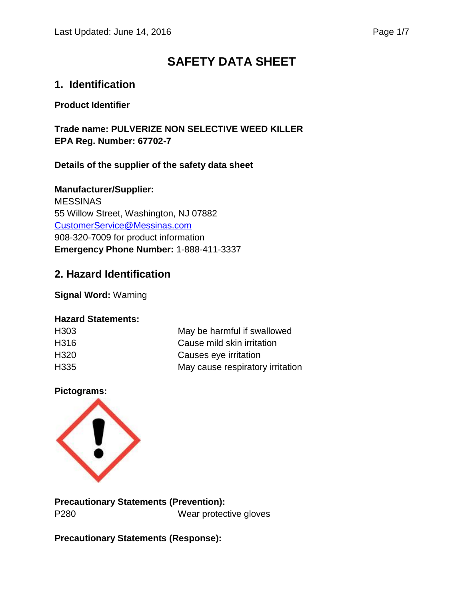# **SAFETY DATA SHEET**

## **1. Identification**

#### **Product Identifier**

**Trade name: PULVERIZE NON SELECTIVE WEED KILLER EPA Reg. Number: 67702-7**

### **Details of the supplier of the safety data sheet**

**Manufacturer/Supplier:** MESSINAS 55 Willow Street, Washington, NJ 07882 [CustomerService@Messinas.com](mailto:CustomerService@Messinas.com) 908-320-7009 for product information **Emergency Phone Number:** 1-888-411-3337

## **2. Hazard Identification**

**Signal Word:** Warning

#### **Hazard Statements:**

| H <sub>303</sub> | May be harmful if swallowed      |
|------------------|----------------------------------|
| H316             | Cause mild skin irritation       |
| H <sub>320</sub> | Causes eye irritation            |
| H <sub>335</sub> | May cause respiratory irritation |

#### **Pictograms:**



**Precautionary Statements (Prevention):** P280 Wear protective gloves

**Precautionary Statements (Response):**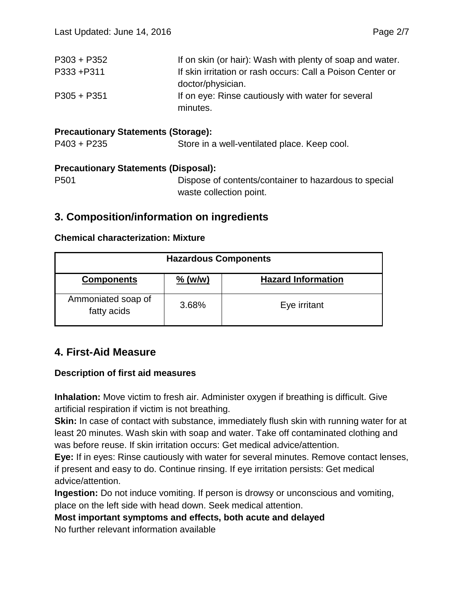| If on skin (or hair): Wash with plenty of soap and water.  |
|------------------------------------------------------------|
| If skin irritation or rash occurs: Call a Poison Center or |
|                                                            |
| If on eye: Rinse cautiously with water for several         |
|                                                            |

## **Precautionary Statements (Storage):**

P403 + P235 Store in a well-ventilated place. Keep cool.

#### **Precautionary Statements (Disposal):**

```
P501 Dispose of contents/container to hazardous to special 
            waste collection point.
```
## **3. Composition/information on ingredients**

#### **Chemical characterization: Mixture**

| <b>Hazardous Components</b>       |           |                           |
|-----------------------------------|-----------|---------------------------|
| <b>Components</b>                 | $%$ (w/w) | <b>Hazard Information</b> |
| Ammoniated soap of<br>fatty acids | 3.68%     | Eye irritant              |

## **4. First-Aid Measure**

#### **Description of first aid measures**

**Inhalation:** Move victim to fresh air. Administer oxygen if breathing is difficult. Give artificial respiration if victim is not breathing.

**Skin:** In case of contact with substance, immediately flush skin with running water for at least 20 minutes. Wash skin with soap and water. Take off contaminated clothing and was before reuse. If skin irritation occurs: Get medical advice/attention.

**Eye:** If in eyes: Rinse cautiously with water for several minutes. Remove contact lenses, if present and easy to do. Continue rinsing. If eye irritation persists: Get medical advice/attention.

**Ingestion:** Do not induce vomiting. If person is drowsy or unconscious and vomiting, place on the left side with head down. Seek medical attention.

**Most important symptoms and effects, both acute and delayed**

No further relevant information available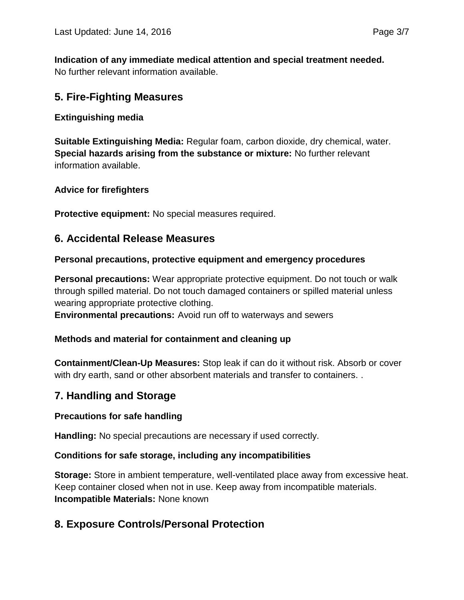**Indication of any immediate medical attention and special treatment needed.** No further relevant information available.

## **5. Fire-Fighting Measures**

#### **Extinguishing media**

**Suitable Extinguishing Media:** Regular foam, carbon dioxide, dry chemical, water. **Special hazards arising from the substance or mixture:** No further relevant information available.

#### **Advice for firefighters**

**Protective equipment:** No special measures required.

## **6. Accidental Release Measures**

#### **Personal precautions, protective equipment and emergency procedures**

**Personal precautions:** Wear appropriate protective equipment. Do not touch or walk through spilled material. Do not touch damaged containers or spilled material unless wearing appropriate protective clothing.

**Environmental precautions:** Avoid run off to waterways and sewers

#### **Methods and material for containment and cleaning up**

**Containment/Clean-Up Measures:** Stop leak if can do it without risk. Absorb or cover with dry earth, sand or other absorbent materials and transfer to containers. .

### **7. Handling and Storage**

#### **Precautions for safe handling**

**Handling:** No special precautions are necessary if used correctly.

#### **Conditions for safe storage, including any incompatibilities**

**Storage:** Store in ambient temperature, well-ventilated place away from excessive heat. Keep container closed when not in use. Keep away from incompatible materials. **Incompatible Materials:** None known

## **8. Exposure Controls/Personal Protection**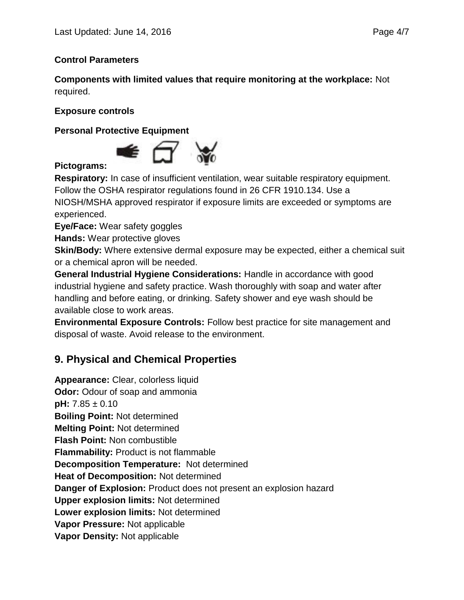### **Control Parameters**

**Components with limited values that require monitoring at the workplace:** Not required.

#### **Exposure controls**

**Personal Protective Equipment**



### **Pictograms:**

**Respiratory:** In case of insufficient ventilation, wear suitable respiratory equipment. Follow the OSHA respirator regulations found in 26 CFR 1910.134. Use a NIOSH/MSHA approved respirator if exposure limits are exceeded or symptoms are experienced.

**Eye/Face:** Wear safety goggles

**Hands:** Wear protective gloves

**Skin/Body:** Where extensive dermal exposure may be expected, either a chemical suit or a chemical apron will be needed.

**General Industrial Hygiene Considerations:** Handle in accordance with good industrial hygiene and safety practice. Wash thoroughly with soap and water after handling and before eating, or drinking. Safety shower and eye wash should be available close to work areas.

**Environmental Exposure Controls:** Follow best practice for site management and disposal of waste. Avoid release to the environment.

# **9. Physical and Chemical Properties**

**Appearance:** Clear, colorless liquid **Odor:** Odour of soap and ammonia **pH:** 7.85 ± 0.10 **Boiling Point:** Not determined **Melting Point:** Not determined **Flash Point:** Non combustible **Flammability:** Product is not flammable **Decomposition Temperature:** Not determined **Heat of Decomposition:** Not determined **Danger of Explosion:** Product does not present an explosion hazard **Upper explosion limits:** Not determined **Lower explosion limits:** Not determined **Vapor Pressure:** Not applicable **Vapor Density:** Not applicable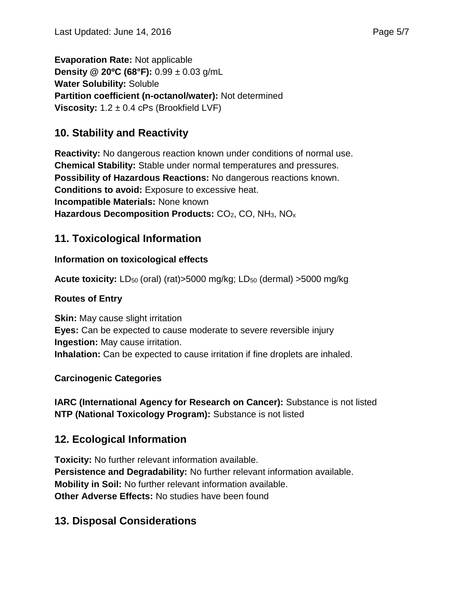**Evaporation Rate:** Not applicable **Density @ 20ºC (68°F):** 0.99 ± 0.03 g/mL **Water Solubility:** Soluble **Partition coefficient (n-octanol/water):** Not determined **Viscosity:** 1.2 ± 0.4 cPs (Brookfield LVF)

# **10. Stability and Reactivity**

**Reactivity:** No dangerous reaction known under conditions of normal use. **Chemical Stability:** Stable under normal temperatures and pressures. **Possibility of Hazardous Reactions:** No dangerous reactions known. **Conditions to avoid:** Exposure to excessive heat. **Incompatible Materials:** None known **Hazardous Decomposition Products: CO<sub>2</sub>, CO, NH<sub>3</sub>, NO<sub>x</sub>** 

# **11. Toxicological Information**

## **Information on toxicological effects**

**Acute toxicity:** LD<sub>50</sub> (oral) (rat)>5000 mg/kg; LD<sub>50</sub> (dermal) >5000 mg/kg

## **Routes of Entry**

**Skin:** May cause slight irritation **Eyes:** Can be expected to cause moderate to severe reversible injury **Ingestion:** May cause irritation. **Inhalation:** Can be expected to cause irritation if fine droplets are inhaled.

### **Carcinogenic Categories**

**IARC (International Agency for Research on Cancer):** Substance is not listed **NTP (National Toxicology Program):** Substance is not listed

# **12. Ecological Information**

**Toxicity:** No further relevant information available. **Persistence and Degradability:** No further relevant information available. **Mobility in Soil:** No further relevant information available. **Other Adverse Effects:** No studies have been found

# **13. Disposal Considerations**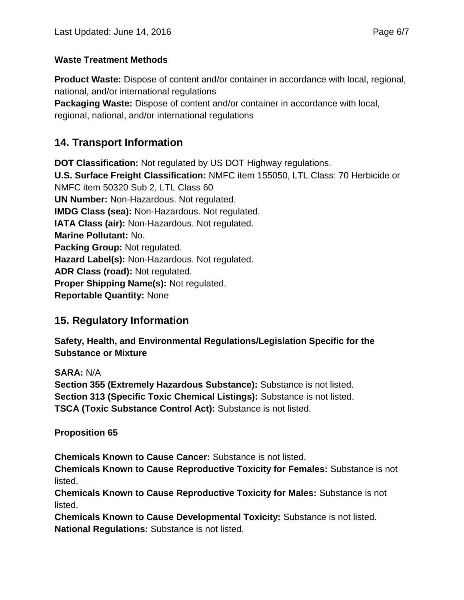### **Waste Treatment Methods**

**Product Waste:** Dispose of content and/or container in accordance with local, regional, national, and/or international regulations

**Packaging Waste:** Dispose of content and/or container in accordance with local, regional, national, and/or international regulations

# **14. Transport Information**

**DOT Classification:** Not regulated by US DOT Highway regulations. **U.S. Surface Freight Classification:** NMFC item 155050, LTL Class: 70 Herbicide or NMFC item 50320 Sub 2, LTL Class 60 **UN Number:** Non-Hazardous. Not regulated. **IMDG Class (sea):** Non-Hazardous. Not regulated. **IATA Class (air):** Non-Hazardous. Not regulated. **Marine Pollutant:** No. **Packing Group:** Not regulated. **Hazard Label(s):** Non-Hazardous. Not regulated. **ADR Class (road):** Not regulated. **Proper Shipping Name(s):** Not regulated. **Reportable Quantity:** None

# **15. Regulatory Information**

**Safety, Health, and Environmental Regulations/Legislation Specific for the Substance or Mixture**

**SARA:** N/A **Section 355 (Extremely Hazardous Substance):** Substance is not listed. **Section 313 (Specific Toxic Chemical Listings):** Substance is not listed. **TSCA (Toxic Substance Control Act):** Substance is not listed.

**Proposition 65**

**Chemicals Known to Cause Cancer:** Substance is not listed.

**Chemicals Known to Cause Reproductive Toxicity for Females:** Substance is not listed.

**Chemicals Known to Cause Reproductive Toxicity for Males:** Substance is not listed.

**Chemicals Known to Cause Developmental Toxicity:** Substance is not listed. **National Regulations:** Substance is not listed.